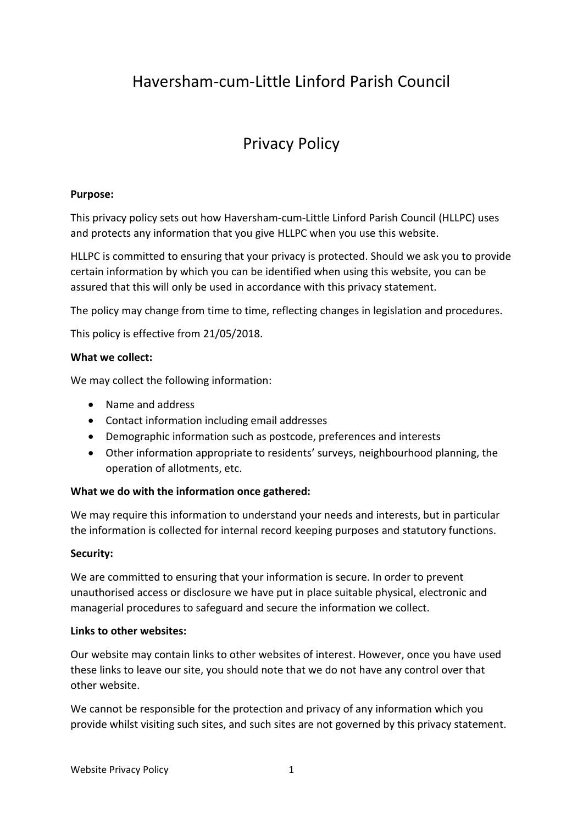## Haversham-cum-Little Linford Parish Council

# Privacy Policy

### **Purpose:**

This privacy policy sets out how Haversham-cum-Little Linford Parish Council (HLLPC) uses and protects any information that you give HLLPC when you use this website.

HLLPC is committed to ensuring that your privacy is protected. Should we ask you to provide certain information by which you can be identified when using this website, you can be assured that this will only be used in accordance with this privacy statement.

The policy may change from time to time, reflecting changes in legislation and procedures.

This policy is effective from 21/05/2018.

#### **What we collect:**

We may collect the following information:

- Name and address
- Contact information including email addresses
- Demographic information such as postcode, preferences and interests
- Other information appropriate to residents' surveys, neighbourhood planning, the operation of allotments, etc.

#### **What we do with the information once gathered:**

We may require this information to understand your needs and interests, but in particular the information is collected for internal record keeping purposes and statutory functions.

#### **Security:**

We are committed to ensuring that your information is secure. In order to prevent unauthorised access or disclosure we have put in place suitable physical, electronic and managerial procedures to safeguard and secure the information we collect.

#### **Links to other websites:**

Our website may contain links to other websites of interest. However, once you have used these links to leave our site, you should note that we do not have any control over that other website.

We cannot be responsible for the protection and privacy of any information which you provide whilst visiting such sites, and such sites are not governed by this privacy statement.